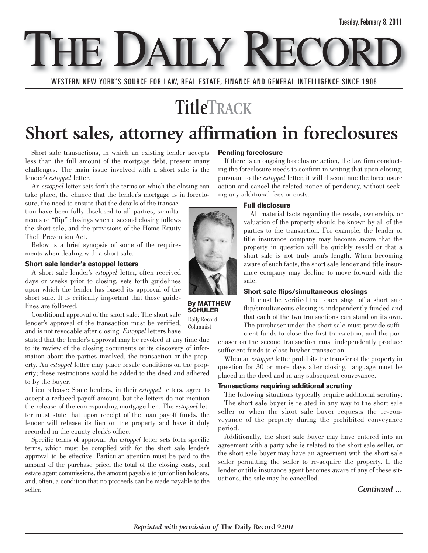E DAILY RE

WESTERN NEW YORK'S SOURCE FOR LAW, REAL ESTATE, FINANCE AND GENERAL INTELLIGENCE SINCE 1908

# **TitleTRACK**

# **Short sales, attorney affirmation in foreclosures**

Short sale transactions, in which an existing lender accepts less than the full amount of the mortgage debt, present many challenges. The main issue involved with a short sale is the lender's *estoppel* letter.

An *estoppel* letter sets forth the terms on which the closing can take place, the chance that the lender's mortgage is in foreclo-

sure, the need to ensure that the details of the transaction have been fully disclosed to all parties, simultaneous or "flip" closings when a second closing follows the short sale, and the provisions of the Home Equity Theft Prevention Act.

Below is a brief synopsis of some of the requirements when dealing with a short sale.

#### **Short sale lender's estoppel letters**

A short sale lender's *estoppel* letter, often received days or weeks prior to closing, sets forth guidelines upon which the lender has based its approval of the short sale. It is critically important that those guidelines are followed.

Conditional approval of the short sale: The short sale lender's approval of the transaction must be verified, and is not revocable after closing. *Estoppel* letters have

stated that the lender's approval may be revoked at any time due to its review of the closing documents or its discovery of information about the parties involved, the transaction or the property. An *estoppel* letter may place resale conditions on the property; these restrictions would be added to the deed and adhered to by the buyer.

Lien release: Some lenders, in their *estoppel* letters, agree to accept a reduced payoff amount, but the letters do not mention the release of the corresponding mortgage lien. The *estoppel* letter must state that upon receipt of the loan payoff funds, the lender will release its lien on the property and have it duly recorded in the county clerk's office.

Specific terms of approval: An *estoppel* letter sets forth specific terms, which must be complied with for the short sale lender's approval to be effective. Particular attention must be paid to the amount of the purchase price, the total of the closing costs, real estate agent commissions, the amount payable to junior lien holders, and, often, a condition that no proceeds can be made payable to the seller.

#### **Pending foreclosure**

If there is an ongoing foreclosure action, the law firm conducting the foreclosure needs to confirm in writing that upon closing, pursuant to the *estoppel* letter, it will discontinue the foreclosure action and cancel the related notice of pendency, without seeking any additional fees or costs.

## **Full disclosure**

All material facts regarding the resale, ownership, or valuation of the property should be known by all of the parties to the transaction. For example, the lender or title insurance company may become aware that the property in question will be quickly resold or that a short sale is not truly arm's length. When becoming aware of such facts, the short sale lender and title insurance company may decline to move forward with the sale.

#### **Short sale flips/simultaneous closings**

It must be verified that each stage of a short sale flip/simultaneous closing is independently funded and that each of the two transactions can stand on its own. The purchaser under the short sale must provide sufficient funds to close the first transaction, and the pur-

chaser on the second transaction must independently produce sufficient funds to close his/her transaction.

When an *estoppel* letter prohibits the transfer of the property in question for 30 or more days after closing, language must be placed in the deed and in any subsequent conveyance.

#### **Transactions requiring additional scrutiny**

The following situations typically require additional scrutiny: The short sale buyer is related in any way to the short sale seller or when the short sale buyer requests the re-conveyance of the property during the prohibited conveyance period.

Additionally, the short sale buyer may have entered into an agreement with a party who is related to the short sale seller, or the short sale buyer may have an agreement with the short sale seller permitting the seller to re-acquire the property. If the lender or title insurance agent becomes aware of any of these situations, the sale may be cancelled.

## *Continued ...*



**By MATTHEW SCHULER** Daily Record Columnist